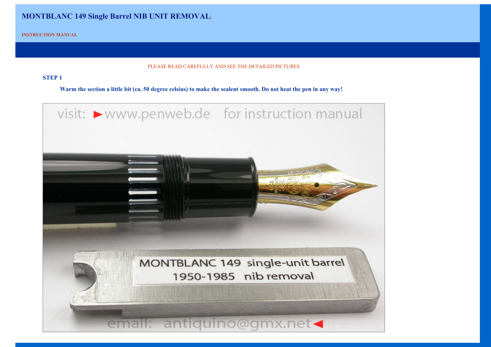# **MONTBLANC 149 Single Barrel NIB UNIT REMOVAL|**

**INSTRUCTION MANUAL**

#### PLEASE READ CAREFULLY AND SEE THE DETAILED PICTURES

### **STEP 1**

**Warm the section a little bit (ca. 50 degree celsius) to make the sealent smooth. Do not heat the pen in any way!**

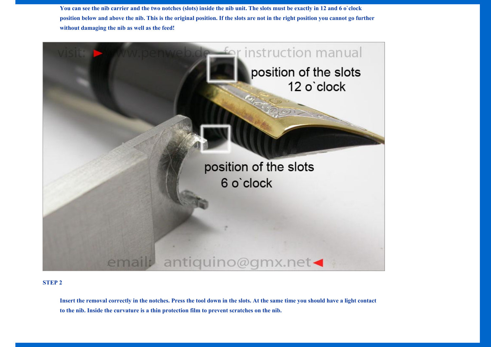**You can see the nib carrier and the two notches (slots) inside the nib unit. The slots must be exactly in 12 and 6 o`clock position below and above the nib. This is the original position. If the slots are not in the right position you cannot go further without damaging the nib as well as the feed!**



#### **STEP 2**

**Insert the removal correctly in the notches. Press the tool down in the slots. At the same time you should have a light contact to the nib. Inside the curvature is a thin protection film to prevent scratches on the nib.**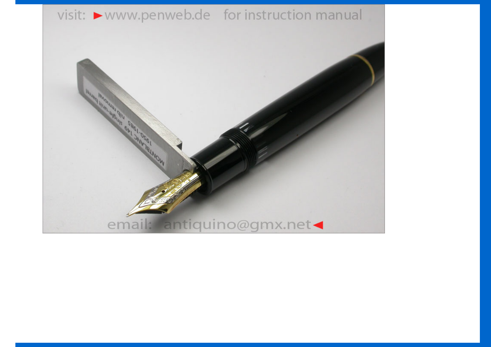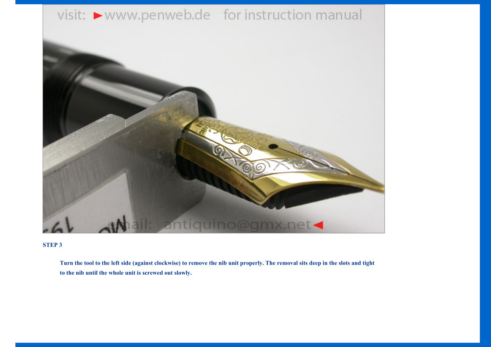

## **STEP 3**

**Turn the tool to the left side (against clockwise) to remove the nib unit properly. The removal sits deep in the slots and tight to the nib until the whole unit is screwed out slowly.**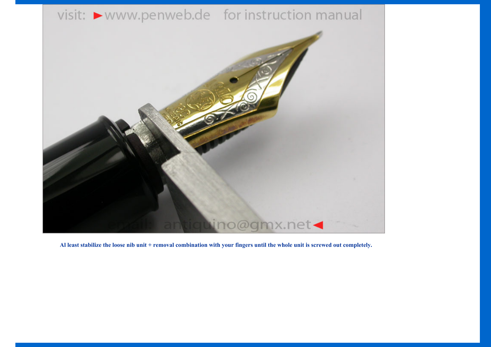

**Al least stabilize the loose nib unit + removal combination with your fingers until the whole unit is screwed out completely.**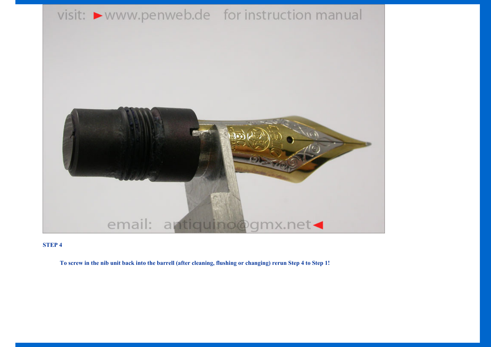

## **STEP 4**

**To screw in the nib unit back into the barrell (after cleaning, flushing or changing) rerun Step 4 to Step 1!**